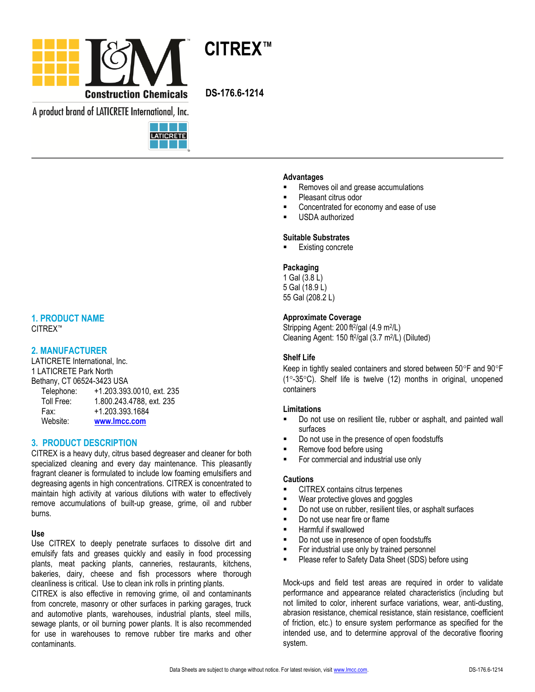

A product brand of LATICRETE International, Inc.



# **1. PRODUCT NAME**

CITREX™

# **2. MANUFACTURER**

LATICRETE International, Inc. 1 LATICRETE Park North Bethany, CT 06524-3423 USA

| boulding, OT 0002-T 0-T20 OOM |                           |
|-------------------------------|---------------------------|
| Telephone:                    | +1.203.393.0010, ext. 235 |
| Toll Free:                    | 1.800.243.4788, ext. 235  |
| Fax:                          | +1.203.393.1684           |
| Website:                      | www.lmcc.com              |

# **3. PRODUCT DESCRIPTION**

CITREX is a heavy duty, citrus based degreaser and cleaner for both specialized cleaning and every day maintenance. This pleasantly fragrant cleaner is formulated to include low foaming emulsifiers and degreasing agents in high concentrations. CITREX is concentrated to maintain high activity at various dilutions with water to effectively remove accumulations of built-up grease, grime, oil and rubber burns.

## **Use**

Use CITREX to deeply penetrate surfaces to dissolve dirt and emulsify fats and greases quickly and easily in food processing plants, meat packing plants, canneries, restaurants, kitchens, bakeries, dairy, cheese and fish processors where thorough cleanliness is critical. Use to clean ink rolls in printing plants.

CITREX is also effective in removing grime, oil and contaminants from concrete, masonry or other surfaces in parking garages, truck and automotive plants, warehouses, industrial plants, steel mills, sewage plants, or oil burning power plants. It is also recommended for use in warehouses to remove rubber tire marks and other contaminants.

### **Advantages**

- Removes oil and grease accumulations
- Pleasant citrus odor
- Concentrated for economy and ease of use
- USDA authorized

### **Suitable Substrates**

Existing concrete

### **Packaging**

1 Gal (3.8 L) 5 Gal (18.9 L) 55 Gal (208.2 L)

## **Approximate Coverage**

Stripping Agent: 200 ft<sup>2</sup>/gal (4.9 m<sup>2</sup>/L) Cleaning Agent: 150 ft<sup>2</sup> /gal (3.7 m<sup>2</sup> /L) (Diluted)

## **Shelf Life**

Keep in tightly sealed containers and stored between  $50^{\circ}$ F and  $90^{\circ}$ F  $(1^{\circ}$ -35 $^{\circ}$ C). Shelf life is twelve  $(12)$  months in original, unopened containers

### **Limitations**

- Do not use on resilient tile, rubber or asphalt, and painted wall surfaces
- Do not use in the presence of open foodstuffs
- Remove food before using
- For commercial and industrial use only

### **Cautions**

- CITREX contains citrus terpenes
- Wear protective gloves and goggles
- Do not use on rubber, resilient tiles, or asphalt surfaces
- Do not use near fire or flame
- Harmful if swallowed
- Do not use in presence of open foodstuffs
- For industrial use only by trained personnel
- **Please refer to Safety Data Sheet (SDS) before using**

Mock-ups and field test areas are required in order to validate performance and appearance related characteristics (including but not limited to color, inherent surface variations, wear, anti-dusting, abrasion resistance, chemical resistance, stain resistance, coefficient of friction, etc.) to ensure system performance as specified for the intended use, and to determine approval of the decorative flooring system.